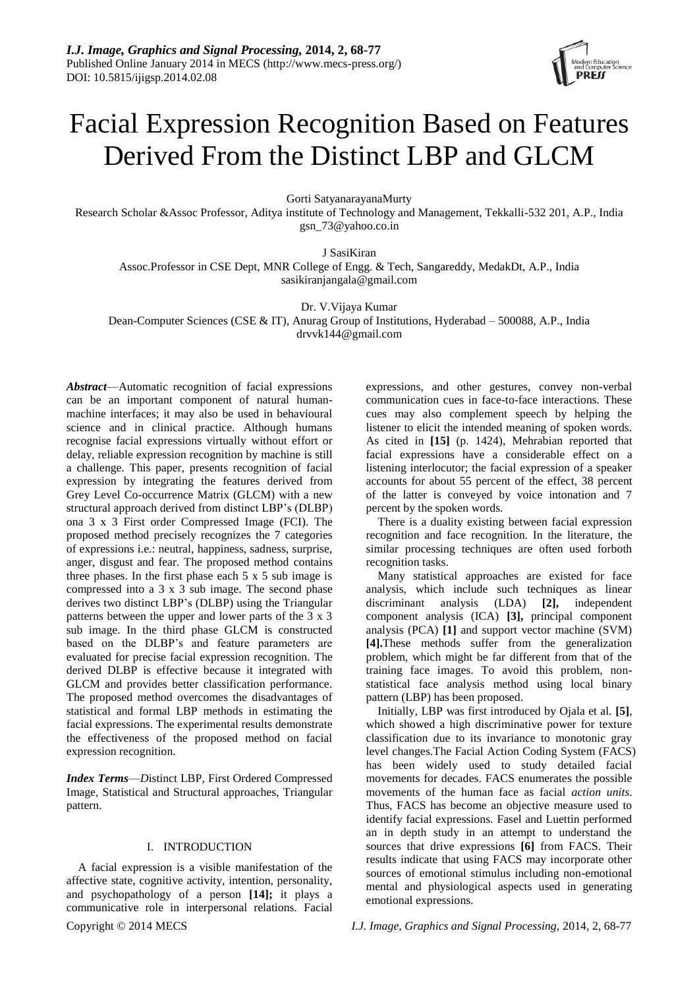# Facial Expression Recognition Based on Features Derived From the Distinct LBP and GLCM

Gorti SatyanarayanaMurty

Research Scholar &Assoc Professor, Aditya institute of Technology and Management, Tekkalli-532 201, A.P., India gsn\_73@yahoo.co.in

J SasiKiran

Assoc.Professor in CSE Dept, MNR College of Engg. & Tech, Sangareddy, MedakDt, A.P., India sasikiranjangala@gmail.com

Dr. V.Vijaya Kumar

Dean-Computer Sciences (CSE & IT), Anurag Group of Institutions, Hyderabad – 500088, A.P., India drvvk144@gmail.com

*Abstract*—Automatic recognition of facial expressions can be an important component of natural humanmachine interfaces; it may also be used in behavioural science and in clinical practice. Although humans recognise facial expressions virtually without effort or delay, reliable expression recognition by machine is still a challenge. This paper, presents recognition of facial expression by integrating the features derived from Grey Level Co-occurrence Matrix (GLCM) with a new structural approach derived from distinct LBP's (DLBP) ona 3 x 3 First order Compressed Image (FCI). The proposed method precisely recognizes the 7 categories of expressions i.e.: neutral, happiness, sadness, surprise, anger, disgust and fear. The proposed method contains three phases. In the first phase each 5 x 5 sub image is compressed into a 3 x 3 sub image. The second phase derives two distinct LBP's (DLBP) using the Triangular patterns between the upper and lower parts of the 3 x 3 sub image. In the third phase GLCM is constructed based on the DLBP's and feature parameters are evaluated for precise facial expression recognition. The derived DLBP is effective because it integrated with GLCM and provides better classification performance. The proposed method overcomes the disadvantages of statistical and formal LBP methods in estimating the facial expressions. The experimental results demonstrate the effectiveness of the proposed method on facial expression recognition.

*Index Terms*—*D*istinct LBP, First Ordered Compressed Image, Statistical and Structural approaches, Triangular pattern.

### I. INTRODUCTION

A facial expression is a visible manifestation of the affective state, cognitive activity, intention, personality, and psychopathology of a person **[14];** it plays a communicative role in interpersonal relations. Facial expressions, and other gestures, convey non-verbal communication cues in face-to-face interactions. These cues may also complement speech by helping the listener to elicit the intended meaning of spoken words. As cited in **[15]** (p. 1424), Mehrabian reported that facial expressions have a considerable effect on a listening interlocutor; the facial expression of a speaker accounts for about 55 percent of the effect, 38 percent of the latter is conveyed by voice intonation and 7 percent by the spoken words.

There is a duality existing between facial expression recognition and face recognition. In the literature, the similar processing techniques are often used forboth recognition tasks.

Many statistical approaches are existed for face analysis, which include such techniques as linear discriminant analysis (LDA) **[2],** independent component analysis (ICA) **[3],** principal component analysis (PCA) **[1]** and support vector machine (SVM) **[4].**These methods suffer from the generalization problem, which might be far different from that of the training face images. To avoid this problem, nonstatistical face analysis method using local binary pattern (LBP) has been proposed.

Initially, LBP was first introduced by Ojala et al. **[5]**, which showed a high discriminative power for texture classification due to its invariance to monotonic gray level changes.The Facial Action Coding System (FACS) has been widely used to study detailed facial movements for decades. FACS enumerates the possible movements of the human face as facial *action units*. Thus, FACS has become an objective measure used to identify facial expressions. Fasel and Luettin performed an in depth study in an attempt to understand the sources that drive expressions **[6]** from FACS. Their results indicate that using FACS may incorporate other sources of emotional stimulus including non-emotional mental and physiological aspects used in generating emotional expressions.

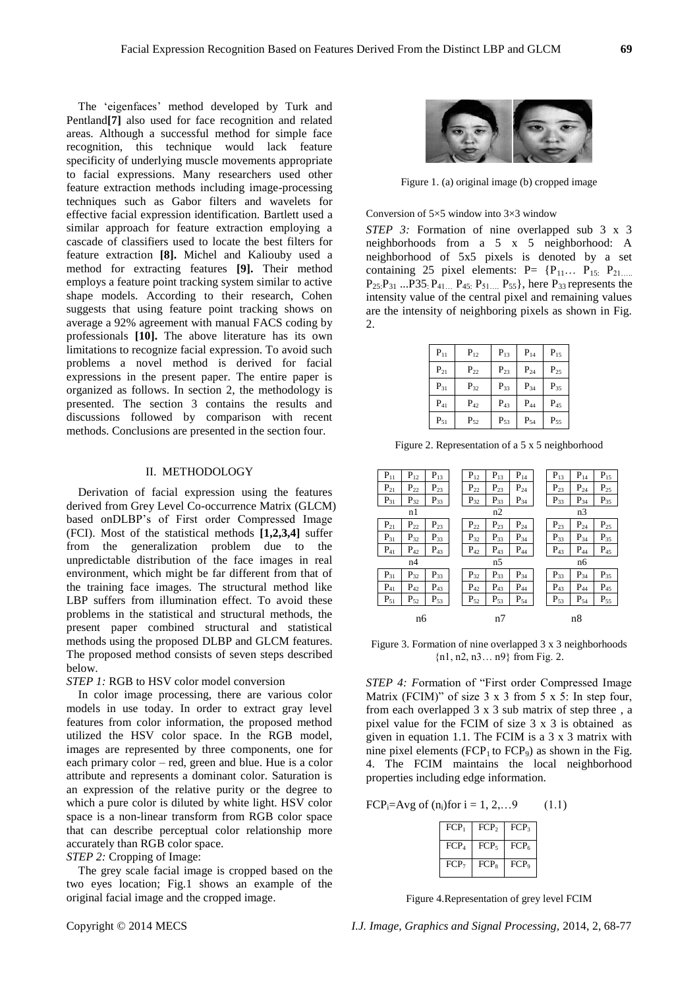The 'eigenfaces' method developed by Turk and Pentland**[7]** also used for face recognition and related areas. Although a successful method for simple face recognition, this technique would lack feature specificity of underlying muscle movements appropriate to facial expressions. Many researchers used other feature extraction methods including image-processing techniques such as Gabor filters and wavelets for effective facial expression identification. Bartlett used a similar approach for feature extraction employing a cascade of classifiers used to locate the best filters for feature extraction **[8].** Michel and Kaliouby used a method for extracting features **[9].** Their method employs a feature point tracking system similar to active shape models. According to their research, Cohen suggests that using feature point tracking shows on average a 92% agreement with manual FACS coding by professionals **[10].** The above literature has its own limitations to recognize facial expression. To avoid such problems a novel method is derived for facial expressions in the present paper. The entire paper is organized as follows. In section 2, the methodology is presented. The section 3 contains the results and discussions followed by comparison with recent methods. Conclusions are presented in the section four.

#### II. METHODOLOGY

Derivation of facial expression using the features derived from Grey Level Co-occurrence Matrix (GLCM) based onDLBP's of First order Compressed Image (FCI). Most of the statistical methods **[1,2,3,4]** suffer from the generalization problem due to the unpredictable distribution of the face images in real environment, which might be far different from that of the training face images. The structural method like LBP suffers from illumination effect. To avoid these problems in the statistical and structural methods, the present paper combined structural and statistical methods using the proposed DLBP and GLCM features. The proposed method consists of seven steps described below.

*STEP 1:* RGB to HSV color model conversion

In color image processing, there are various color models in use today. In order to extract gray level features from color information, the proposed method utilized the HSV color space. In the RGB model, images are represented by three components, one for each primary color – red, green and blue. Hue is a color attribute and represents a dominant color. Saturation is an expression of the relative purity or the degree to which a pure color is diluted by white light. HSV color space is a non-linear transform from RGB color space that can describe perceptual color relationship more accurately than RGB color space.

*STEP 2:* Cropping of Image:

The grey scale facial image is cropped based on the two eyes location; Fig.1 shows an example of the original facial image and the cropped image.



Figure 1. (a) original image (b) cropped image

#### Conversion of  $5 \times 5$  window into  $3 \times 3$  window

*STEP 3:* Formation of nine overlapped sub 3 x 3 neighborhoods from a 5 x 5 neighborhood: A neighborhood of 5x5 pixels is denoted by a set containing 25 pixel elements:  $P = {P_{11} \dots P_{15}}$ .  $P_{21\ldots}$  $P_{25}:P_{31}...P_{35}:P_{41...}P_{45}:P_{51...}P_{55}\},$  here  $P_{33}$  represents the intensity value of the central pixel and remaining values are the intensity of neighboring pixels as shown in Fig. 2.

| $P_{11}$ | $P_{12}$ | $P_{13}$ | $P_{14}$ | $P_{15}$ |
|----------|----------|----------|----------|----------|
| $P_{21}$ | $P_{22}$ | $P_{23}$ | $P_{24}$ | $P_{25}$ |
| $P_{31}$ | $P_{32}$ | $P_{33}$ | $P_{34}$ | $P_{35}$ |
| $P_{41}$ | $P_{42}$ | $P_{43}$ | $P_{44}$ | $P_{45}$ |
| $P_{51}$ | $P_{52}$ | $P_{53}$ | $P_{54}$ | $P_{55}$ |

Figure 2. Representation of a 5 x 5 neighborhood

| $P_{11}$ | $P_{12}$          | $\mathbf{P}_{13}$ | $\mathbf{P}_{12}$ | $P_{13}$          | $P_{14}$ |  | $\mathbf{P}_{13}$ | $P_{14}$          | $P_{15}$ |  |
|----------|-------------------|-------------------|-------------------|-------------------|----------|--|-------------------|-------------------|----------|--|
| $P_{21}$ | $\mathbf{P}_{22}$ | $P_{23}$          | $P_{22}$          | $P_{23}$          | $P_{24}$ |  | $P_{23}$          | $P_{24}$          | $P_{25}$ |  |
| $P_{31}$ | $P_{32}$          | $P_{33}$          | $P_{32}$          | $P_{33}$          | $P_{34}$ |  | $P_{33}$          | $P_{34}$          | $P_{35}$ |  |
|          | n1                |                   | n2                |                   |          |  |                   | n3                |          |  |
| $P_{21}$ | $\mathbf{P}_{22}$ | $P_{23}$          | $\mathbf{P}_{22}$ | $P_{23}$          | $P_{24}$ |  | $\mathbf{P}_{23}$ | $\mathbf{P}_{24}$ | $P_{25}$ |  |
| $P_{31}$ | $P_{32}$          | $P_{33}$          | $P_{32}$          | $P_{33}$          | $P_{34}$ |  | $P_{33}$          | $P_{34}$          | $P_{35}$ |  |
| $P_{41}$ | $P_{42}$          | $P_{43}$          | $P_{42}$          | $P_{43}$          | $P_{44}$ |  | $P_{43}$          | $\mathbf{P}_{44}$ | $P_{45}$ |  |
|          | n4                |                   |                   | n5                |          |  |                   | n6                |          |  |
| $P_{31}$ | $\mathbf{P}_{32}$ | $P_{33}$          | $P_{32}$          | $P_{33}$          | $P_{34}$ |  | $P_{33}$          | $P_{34}$          | $P_{35}$ |  |
| $P_{41}$ | $P_{42}$          | $P_{43}$          | $P_{42}$          | $\mathbf{P}_{43}$ | $P_{44}$ |  | $P_{43}$          | $P_{44}$          | $P_{45}$ |  |
| $P_{51}$ | $P_{52}$          | $P_{53}$          | $P_{52}$          | $P_{53}$          | $P_{54}$ |  | $P_{53}$          | $P_{54}$          | $P_{55}$ |  |
|          | n6                |                   |                   | n7                |          |  |                   | n8                |          |  |

Figure 3. Formation of nine overlapped 3 x 3 neighborhoods {n1, n2, n3… n9} from Fig. 2.

*STEP 4: Formation of "First order Compressed Image* Matrix (FCIM)" of size  $3 \times 3$  from  $5 \times 5$ : In step four, from each overlapped 3 x 3 sub matrix of step three , a pixel value for the FCIM of size 3 x 3 is obtained as given in equation 1.1. The FCIM is a 3 x 3 matrix with nine pixel elements ( $FCP_1$  to  $FCP_9$ ) as shown in the Fig. 4. The FCIM maintains the local neighborhood properties including edge information.

FCP<sub>i</sub>=Avg of  $(n_i)$ for  $i = 1, 2, \ldots, 9$  (1.1)

| $FCP_1$          | FCP <sub>2</sub> | FCP <sub>3</sub> |
|------------------|------------------|------------------|
| FCP <sub>4</sub> | FCP <sub>5</sub> | FCP <sub>6</sub> |
| FCP <sub>7</sub> | $FCP_8$          | FCP <sub>9</sub> |

Figure 4.Representation of grey level FCIM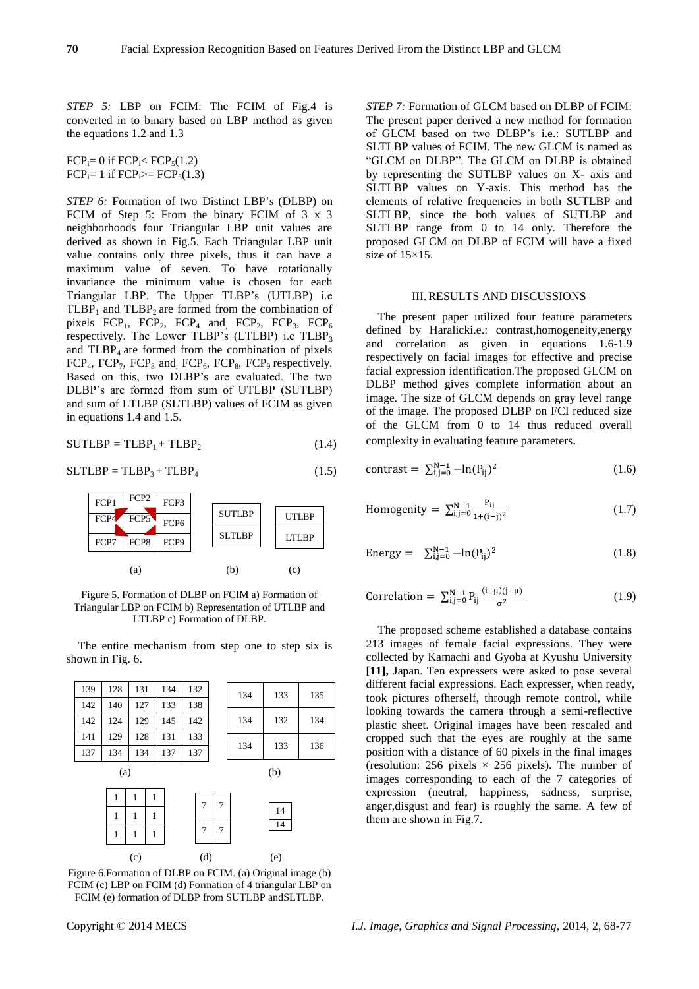*STEP 5:* LBP on FCIM: The FCIM of Fig.4 is converted in to binary based on LBP method as given the equations 1.2 and 1.3

 $FCP_i= 0$  if  $FCP_i < FCP_5(1.2)$  $FCP_i = 1$  if  $FCP_i \geq FCP_5(1.3)$ 

*STEP 6:* Formation of two Distinct LBP's (DLBP) on FCIM of Step 5: From the binary FCIM of 3 x 3 neighborhoods four Triangular LBP unit values are derived as shown in Fig.5. Each Triangular LBP unit value contains only three pixels, thus it can have a maximum value of seven. To have rotationally invariance the minimum value is chosen for each Triangular LBP. The Upper TLBP's (UTLBP) i.e  $TLBP<sub>1</sub>$  and  $TLBP<sub>2</sub>$  are formed from the combination of pixels  $FCP_1$ ,  $FCP_2$ ,  $FCP_4$  and,  $FCP_2$ ,  $FCP_3$ ,  $FCP_6$ respectively. The Lower TLBP's (LTLBP) i.e  $TLBP_3$ and  $TLBP<sub>4</sub>$  are formed from the combination of pixels  $FCP_4$ ,  $FCP_7$ ,  $FCP_8$  and,  $FCP_6$ ,  $FCP_8$ ,  $FCP_9$  respectively. Based on this, two DLBP's are evaluated. The two DLBP's are formed from sum of UTLBP (SUTLBP) and sum of LTLBP (SLTLBP) values of FCIM as given in equations 1.4 and 1.5.

$$
SUTLBP = TLBP1 + TLBP2
$$
 (1.4)

$$
SLTLBP = TLBP3 + TLBP4
$$
 (1.5)



Figure 5. Formation of DLBP on FCIM a) Formation of Triangular LBP on FCIM b) Representation of UTLBP and LTLBP c) Formation of DLBP.

The entire mechanism from step one to step six is shown in Fig. 6.

| 139 | 128          | 131               | 134 | 132            |   | 134 | 133 | 135 |
|-----|--------------|-------------------|-----|----------------|---|-----|-----|-----|
| 142 | 140          | 127               | 133 | 138            |   |     |     |     |
| 142 | 124          | 129               | 145 | 142            |   | 134 | 132 | 134 |
| 141 | 129          | 128               | 131 | 133            |   |     |     |     |
| 137 | 134          | 134               | 137 | 137            |   | 134 | 133 | 136 |
|     | (a)          |                   |     |                |   |     | (b) |     |
|     | 1            | 1<br>1            |     | 7              | 7 |     |     |     |
|     | $\mathbf{1}$ | $\mathbf{1}$<br>1 |     |                |   |     | 14  |     |
|     | $\mathbf{1}$ | $\mathbf{1}$<br>1 |     | $\overline{7}$ | 7 |     | 14  |     |
|     |              | (c)               |     | (d)            |   |     | (e) |     |

Figure 6.Formation of DLBP on FCIM. (a) Original image (b) FCIM (c) LBP on FCIM (d) Formation of 4 triangular LBP on FCIM (e) formation of DLBP from SUTLBP andSLTLBP.

*STEP 7:* Formation of GLCM based on DLBP of FCIM: The present paper derived a new method for formation of GLCM based on two DLBP's i.e.: SUTLBP and SLTLBP values of FCIM. The new GLCM is named as "GLCM on DLBP". The GLCM on DLBP is obtained by representing the SUTLBP values on X- axis and SLTLBP values on Y-axis. This method has the elements of relative frequencies in both SUTLBP and SLTLBP, since the both values of SUTLBP and SLTLBP range from 0 to 14 only. Therefore the proposed GLCM on DLBP of FCIM will have a fixed size of  $15\times15$ .

#### III.RESULTS AND DISCUSSIONS

The present paper utilized four feature parameters defined by Haralicki.e.: contrast,homogeneity,energy and correlation as given in equations 1.6-1.9 respectively on facial images for effective and precise facial expression identification.The proposed GLCM on DLBP method gives complete information about an image. The size of GLCM depends on gray level range of the image. The proposed DLBP on FCI reduced size of the GLCM from 0 to 14 thus reduced overall complexity in evaluating feature parameters.

$$
contrast = \sum_{i,j=0}^{N-1} -\ln(P_{ij})^2
$$
 (1.6)

Homogeneity = 
$$
\sum_{i,j=0}^{N-1} \frac{P_{ij}}{1+(i-j)^2}
$$
 (1.7)

Energy = 
$$
\sum_{i,j=0}^{N-1} -\ln(P_{ij})^2
$$
 (1.8)

Correlation = 
$$
\sum_{i,j=0}^{N-1} P_{ij} \frac{(i-\mu)(j-\mu)}{\sigma^2}
$$
 (1.9)

The proposed scheme established a database contains 213 images of female facial expressions. They were collected by Kamachi and Gyoba at Kyushu University **[11],** Japan. Ten expressers were asked to pose several different facial expressions. Each expresser, when ready, took pictures ofherself, through remote control, while looking towards the camera through a semi-reflective plastic sheet. Original images have been rescaled and cropped such that the eyes are roughly at the same position with a distance of 60 pixels in the final images (resolution: 256 pixels  $\times$  256 pixels). The number of images corresponding to each of the 7 categories of expression (neutral, happiness, sadness, surprise, anger,disgust and fear) is roughly the same. A few of them are shown in Fig.7.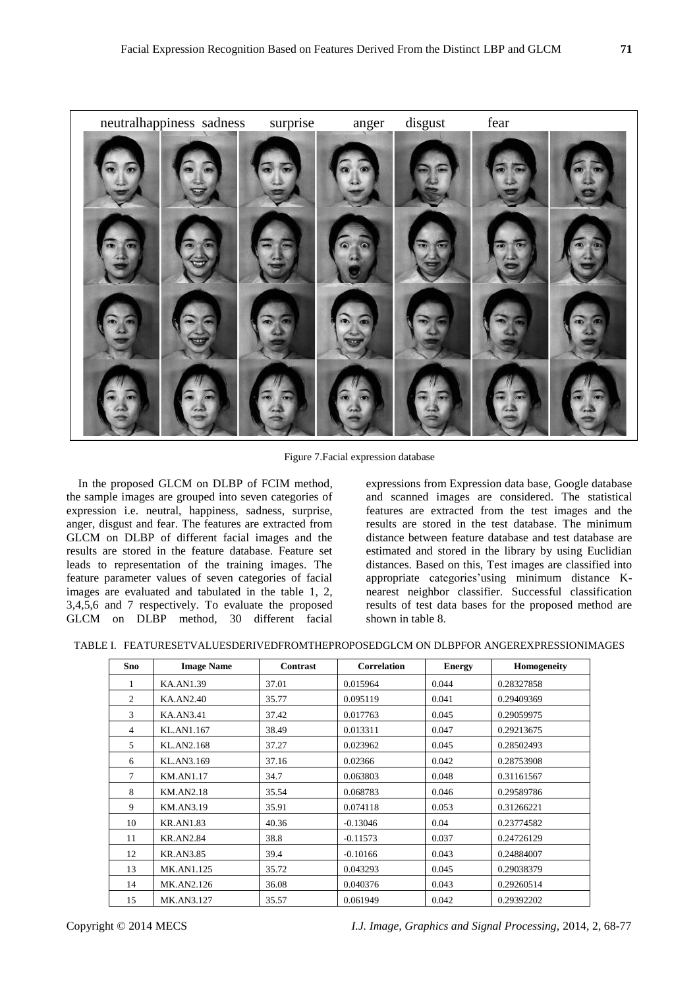

Figure 7.Facial expression database

In the proposed GLCM on DLBP of FCIM method, the sample images are grouped into seven categories of expression i.e. neutral, happiness, sadness, surprise, anger, disgust and fear. The features are extracted from GLCM on DLBP of different facial images and the results are stored in the feature database. Feature set leads to representation of the training images. The feature parameter values of seven categories of facial images are evaluated and tabulated in the table 1, 2, 3,4,5,6 and 7 respectively. To evaluate the proposed GLCM on DLBP method, 30 different facial expressions from Expression data base, Google database and scanned images are considered. The statistical features are extracted from the test images and the results are stored in the test database. The minimum distance between feature database and test database are estimated and stored in the library by using Euclidian distances. Based on this, Test images are classified into appropriate categories'using minimum distance Knearest neighbor classifier. Successful classification results of test data bases for the proposed method are shown in table 8.

|  |  |  | TABLE I. FEATURESETVALUESDERIVEDFROMTHEPROPOSEDGLCM ON DLBPFOR ANGEREXPRESSIONIMAGES |
|--|--|--|--------------------------------------------------------------------------------------|
|  |  |  |                                                                                      |

| Sno            | <b>Image Name</b> | <b>Contrast</b> | <b>Correlation</b> | <b>Energy</b> | Homogeneity |
|----------------|-------------------|-----------------|--------------------|---------------|-------------|
|                | <b>KA.AN1.39</b>  | 37.01           | 0.015964           | 0.044         | 0.28327858  |
| $\overline{c}$ | KA.AN2.40         | 35.77           | 0.095119           | 0.041         | 0.29409369  |
| 3              | <b>KA.AN3.41</b>  | 37.42           | 0.017763           | 0.045         | 0.29059975  |
| 4              | KL.AN1.167        | 38.49           | 0.013311           | 0.047         | 0.29213675  |
| 5              | KL.AN2.168        | 37.27           | 0.023962           | 0.045         | 0.28502493  |
| 6              | KL.AN3.169        | 37.16           | 0.02366            | 0.042         | 0.28753908  |
| 7              | <b>KM.AN1.17</b>  | 34.7            | 0.063803           | 0.048         | 0.31161567  |
| 8              | <b>KM.AN2.18</b>  | 35.54           | 0.068783           | 0.046         | 0.29589786  |
| 9              | <b>KM.AN3.19</b>  | 35.91           | 0.074118           | 0.053         | 0.31266221  |
| 10             | <b>KR.AN1.83</b>  | 40.36           | $-0.13046$         | 0.04          | 0.23774582  |
| 11             | <b>KR.AN2.84</b>  | 38.8            | $-0.11573$         | 0.037         | 0.24726129  |
| 12             | <b>KR.AN3.85</b>  | 39.4            | $-0.10166$         | 0.043         | 0.24884007  |
| 13             | MK.AN1.125        | 35.72           | 0.043293           | 0.045         | 0.29038379  |
| 14             | MK.AN2.126        | 36.08           | 0.040376           | 0.043         | 0.29260514  |
| 15             | MK.AN3.127        | 35.57           | 0.061949           | 0.042         | 0.29392202  |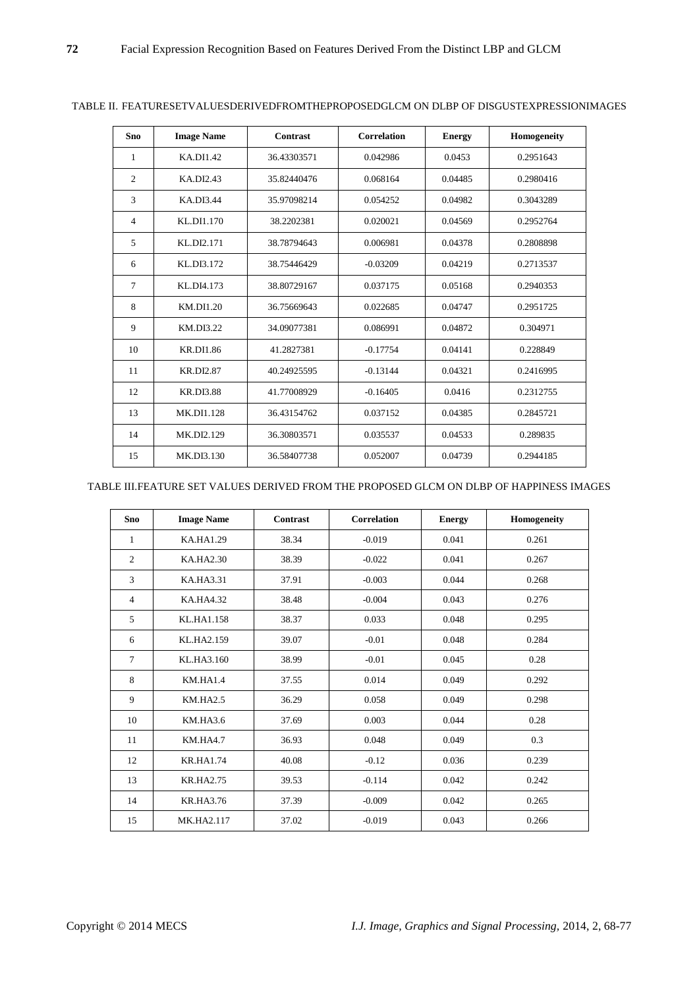| Sno | <b>Image Name</b> | Contrast    | <b>Correlation</b> | <b>Energy</b> | Homogeneity |
|-----|-------------------|-------------|--------------------|---------------|-------------|
| 1   | KA.DI1.42         | 36.43303571 | 0.042986           | 0.0453        | 0.2951643   |
| 2   | KA.DI2.43         | 35.82440476 | 0.068164           | 0.04485       | 0.2980416   |
| 3   | KA.DI3.44         | 35.97098214 | 0.054252           | 0.04982       | 0.3043289   |
| 4   | KL.DI1.170        | 38.2202381  | 0.020021           | 0.04569       | 0.2952764   |
| 5   | KL.DI2.171        | 38.78794643 | 0.006981           | 0.04378       | 0.2808898   |
| 6   | KL DI3.172        | 38.75446429 | $-0.03209$         | 0.04219       | 0.2713537   |
| 7   | KL DI4.173        | 38.80729167 | 0.037175           | 0.05168       | 0.2940353   |
| 8   | KM.DI1.20         | 36.75669643 | 0.022685           | 0.04747       | 0.2951725   |
| 9   | KM.DI3.22         | 34.09077381 | 0.086991           | 0.04872       | 0.304971    |
| 10  | <b>KR.DI1.86</b>  | 41.2827381  | $-0.17754$         | 0.04141       | 0.228849    |
| 11  | <b>KR.DI2.87</b>  | 40.24925595 | $-0.13144$         | 0.04321       | 0.2416995   |
| 12  | <b>KR.DI3.88</b>  | 41.77008929 | $-0.16405$         | 0.0416        | 0.2312755   |
| 13  | MK.DI1.128        | 36.43154762 | 0.037152           | 0.04385       | 0.2845721   |
| 14  | MK.DI2.129        | 36.30803571 | 0.035537           | 0.04533       | 0.289835    |
| 15  | MK.DI3.130        | 36.58407738 | 0.052007           | 0.04739       | 0.2944185   |

## TABLE II. FEATURESETVALUESDERIVEDFROMTHEPROPOSEDGLCM ON DLBP OF DISGUSTEXPRESSIONIMAGES

# TABLE III.FEATURE SET VALUES DERIVED FROM THE PROPOSED GLCM ON DLBP OF HAPPINESS IMAGES

| Sno            | <b>Image Name</b> | Contrast | <b>Correlation</b> | <b>Energy</b> | Homogeneity |
|----------------|-------------------|----------|--------------------|---------------|-------------|
| 1              | KA.HA1.29         | 38.34    | $-0.019$           | 0.041         | 0.261       |
| $\overline{2}$ | KA.HA2.30         | 38.39    | $-0.022$           | 0.041         | 0.267       |
| 3              | KA.HA3.31         | 37.91    | $-0.003$           | 0.044         | 0.268       |
| $\overline{4}$ | KA.HA4.32         | 38.48    | $-0.004$           | 0.043         | 0.276       |
| 5              | KL.HA1.158        | 38.37    | 0.033              | 0.048         | 0.295       |
| 6              | KL.HA2.159        | 39.07    | $-0.01$            | 0.048         | 0.284       |
| 7              | KL.HA3.160        | 38.99    | $-0.01$            | 0.045         | 0.28        |
| 8              | <b>KM.HA1.4</b>   | 37.55    | 0.014              | 0.049         | 0.292       |
| 9              | <b>KM.HA2.5</b>   | 36.29    | 0.058              | 0.049         | 0.298       |
| 10             | <b>KM.HA3.6</b>   | 37.69    | 0.003              | 0.044         | 0.28        |
| 11             | <b>KM.HA4.7</b>   | 36.93    | 0.048              | 0.049         | 0.3         |
| 12             | <b>KR.HA1.74</b>  | 40.08    | $-0.12$            | 0.036         | 0.239       |
| 13             | <b>KR.HA2.75</b>  | 39.53    | $-0.114$           | 0.042         | 0.242       |
| 14             | <b>KR.HA3.76</b>  | 37.39    | $-0.009$           | 0.042         | 0.265       |
| 15             | MK.HA2.117        | 37.02    | $-0.019$           | 0.043         | 0.266       |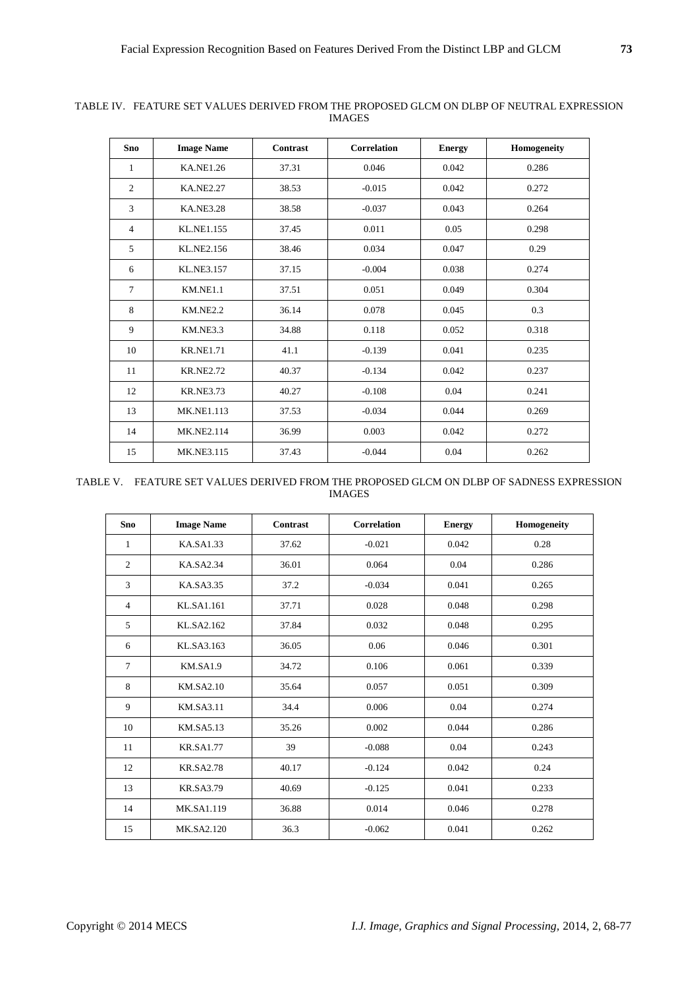| <b>Sno</b>     | <b>Image Name</b> | <b>Contrast</b> | <b>Correlation</b> | <b>Energy</b> | Homogeneity |
|----------------|-------------------|-----------------|--------------------|---------------|-------------|
| 1              | <b>KA.NE1.26</b>  | 37.31           | 0.046              | 0.042         | 0.286       |
| $\overline{2}$ | <b>KA.NE2.27</b>  | 38.53           | $-0.015$           | 0.042         | 0.272       |
| 3              | <b>KA.NE3.28</b>  | 38.58           | $-0.037$           | 0.043         | 0.264       |
| $\overline{4}$ | <b>KL.NE1.155</b> | 37.45           | 0.011              | 0.05          | 0.298       |
| 5              | KL.NE2.156        | 38.46           | 0.034              | 0.047         | 0.29        |
| 6              | <b>KL.NE3.157</b> | 37.15           | $-0.004$           | 0.038         | 0.274       |
| $\tau$         | KM.NE1.1          | 37.51           | 0.051              | 0.049         | 0.304       |
| 8              | <b>KM.NE2.2</b>   | 36.14           | 0.078              | 0.045         | 0.3         |
| 9              | <b>KM.NE3.3</b>   | 34.88           | 0.118              | 0.052         | 0.318       |
| 10             | <b>KR.NE1.71</b>  | 41.1            | $-0.139$           | 0.041         | 0.235       |
| 11             | <b>KR.NE2.72</b>  | 40.37           | $-0.134$           | 0.042         | 0.237       |
| 12             | <b>KR.NE3.73</b>  | 40.27           | $-0.108$           | 0.04          | 0.241       |
| 13             | <b>MK.NE1.113</b> | 37.53           | $-0.034$           | 0.044         | 0.269       |
| 14             | <b>MK.NE2.114</b> | 36.99           | 0.003              | 0.042         | 0.272       |
| 15             | <b>MK.NE3.115</b> | 37.43           | $-0.044$           | 0.04          | 0.262       |

TABLE IV. FEATURE SET VALUES DERIVED FROM THE PROPOSED GLCM ON DLBP OF NEUTRAL EXPRESSION IMAGES

TABLE V. FEATURE SET VALUES DERIVED FROM THE PROPOSED GLCM ON DLBP OF SADNESS EXPRESSION IMAGES

| Sno             | <b>Image Name</b> | Contrast | <b>Correlation</b> | <b>Energy</b> | Homogeneity |
|-----------------|-------------------|----------|--------------------|---------------|-------------|
| 1               | KA.SA1.33         | 37.62    | $-0.021$           | 0.042         | 0.28        |
| 2               | KA.SA2.34         | 36.01    | 0.064              | 0.04          | 0.286       |
| 3               | KA.SA3.35         | 37.2     | $-0.034$           | 0.041         | 0.265       |
| $\overline{4}$  | KL.SA1.161        | 37.71    | 0.028              | 0.048         | 0.298       |
| 5               | KL.SA2.162        | 37.84    | 0.032              | 0.048         | 0.295       |
| 6               | KL.SA3.163        | 36.05    | 0.06               | 0.046         | 0.301       |
| $7\phantom{.0}$ | <b>KM.SA1.9</b>   | 34.72    | 0.106              | 0.061         | 0.339       |
| 8               | <b>KM.SA2.10</b>  | 35.64    | 0.057              | 0.051         | 0.309       |
| 9               | <b>KM.SA3.11</b>  | 34.4     | 0.006              | 0.04          | 0.274       |
| 10              | <b>KM.SA5.13</b>  | 35.26    | 0.002              | 0.044         | 0.286       |
| 11              | <b>KR.SA1.77</b>  | 39       | $-0.088$           | 0.04          | 0.243       |
| 12              | <b>KR.SA2.78</b>  | 40.17    | $-0.124$           | 0.042         | 0.24        |
| 13              | <b>KR.SA3.79</b>  | 40.69    | $-0.125$           | 0.041         | 0.233       |
| 14              | <b>MK.SA1.119</b> | 36.88    | 0.014              | 0.046         | 0.278       |
| 15              | MK.SA2.120        | 36.3     | $-0.062$           | 0.041         | 0.262       |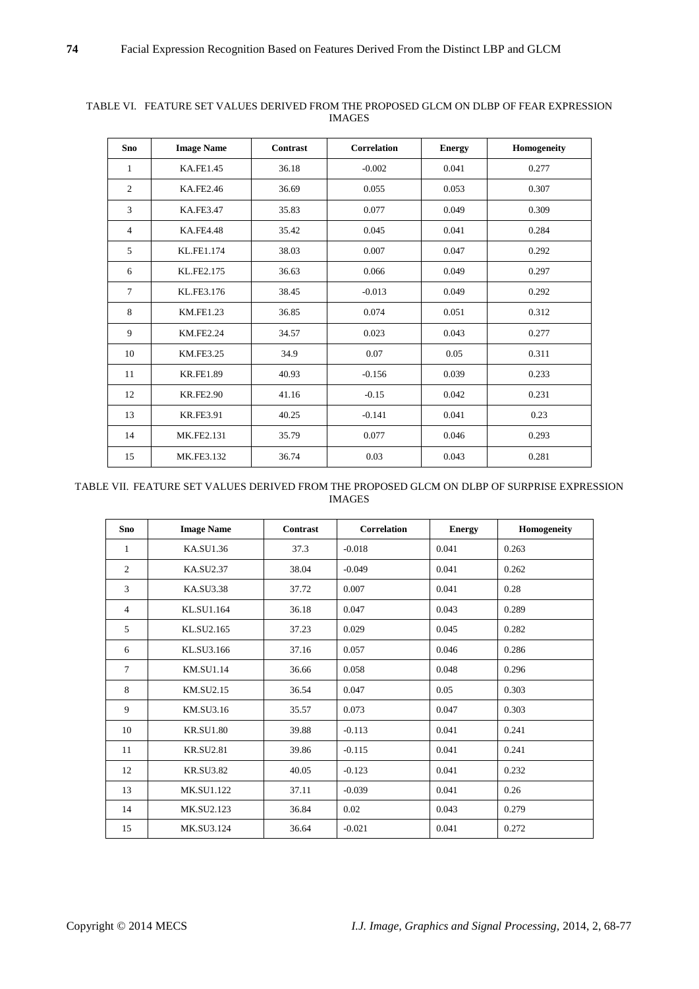| Sno            | <b>Image Name</b> | Contrast | <b>Correlation</b> | <b>Energy</b> | Homogeneity |
|----------------|-------------------|----------|--------------------|---------------|-------------|
| 1              | <b>KA.FE1.45</b>  | 36.18    | $-0.002$           | 0.041         | 0.277       |
| $\overline{c}$ | KA.FE2.46         | 36.69    | 0.055              | 0.053         | 0.307       |
| $\overline{3}$ | <b>KA.FE3.47</b>  | 35.83    | 0.077              | 0.049         | 0.309       |
| $\overline{4}$ | <b>KA.FE4.48</b>  | 35.42    | 0.045              | 0.041         | 0.284       |
| 5              | KL.FE1.174        | 38.03    | 0.007              | 0.047         | 0.292       |
| 6              | KL.FE2.175        | 36.63    | 0.066              | 0.049         | 0.297       |
| $\tau$         | KL.FE3.176        | 38.45    | $-0.013$           | 0.049         | 0.292       |
| 8              | <b>KM.FE1.23</b>  | 36.85    | 0.074              | 0.051         | 0.312       |
| 9              | <b>KM.FE2.24</b>  | 34.57    | 0.023              | 0.043         | 0.277       |
| 10             | <b>KM.FE3.25</b>  | 34.9     | 0.07               | 0.05          | 0.311       |
| 11             | <b>KR.FE1.89</b>  | 40.93    | $-0.156$           | 0.039         | 0.233       |
| 12             | <b>KR.FE2.90</b>  | 41.16    | $-0.15$            | 0.042         | 0.231       |
| 13             | <b>KR.FE3.91</b>  | 40.25    | $-0.141$           | 0.041         | 0.23        |
| 14             | MK.FE2.131        | 35.79    | 0.077              | 0.046         | 0.293       |
| 15             | MK.FE3.132        | 36.74    | 0.03               | 0.043         | 0.281       |

## TABLE VI. FEATURE SET VALUES DERIVED FROM THE PROPOSED GLCM ON DLBP OF FEAR EXPRESSION IMAGES

## TABLE VII. FEATURE SET VALUES DERIVED FROM THE PROPOSED GLCM ON DLBP OF SURPRISE EXPRESSION IMAGES

| Sno            | <b>Image Name</b> | Contrast | <b>Correlation</b> | <b>Energy</b> | Homogeneity |
|----------------|-------------------|----------|--------------------|---------------|-------------|
| 1              | KA.SU1.36         | 37.3     | $-0.018$           | 0.041         | 0.263       |
| 2              | <b>KA.SU2.37</b>  | 38.04    | $-0.049$           | 0.041         | 0.262       |
| 3              | <b>KA.SU3.38</b>  | 37.72    | 0.007              | 0.041         | 0.28        |
| $\overline{4}$ | KL.SU1.164        | 36.18    | 0.047              | 0.043         | 0.289       |
| 5              | KL.SU2.165        | 37.23    | 0.029              | 0.045         | 0.282       |
| 6              | KL.SU3.166        | 37.16    | 0.057              | 0.046         | 0.286       |
| $\tau$         | KM.SU1.14         | 36.66    | 0.058              | 0.048         | 0.296       |
| 8              | KM.SU2.15         | 36.54    | 0.047              | 0.05          | 0.303       |
| 9              | KM.SU3.16         | 35.57    | 0.073              | 0.047         | 0.303       |
| 10             | <b>KR.SU1.80</b>  | 39.88    | $-0.113$           | 0.041         | 0.241       |
| 11             | <b>KR.SU2.81</b>  | 39.86    | $-0.115$           | 0.041         | 0.241       |
| 12             | <b>KR.SU3.82</b>  | 40.05    | $-0.123$           | 0.041         | 0.232       |
| 13             | <b>MK.SU1.122</b> | 37.11    | $-0.039$           | 0.041         | 0.26        |
| 14             | MK.SU2.123        | 36.84    | 0.02               | 0.043         | 0.279       |
| 15             | MK.SU3.124        | 36.64    | $-0.021$           | 0.041         | 0.272       |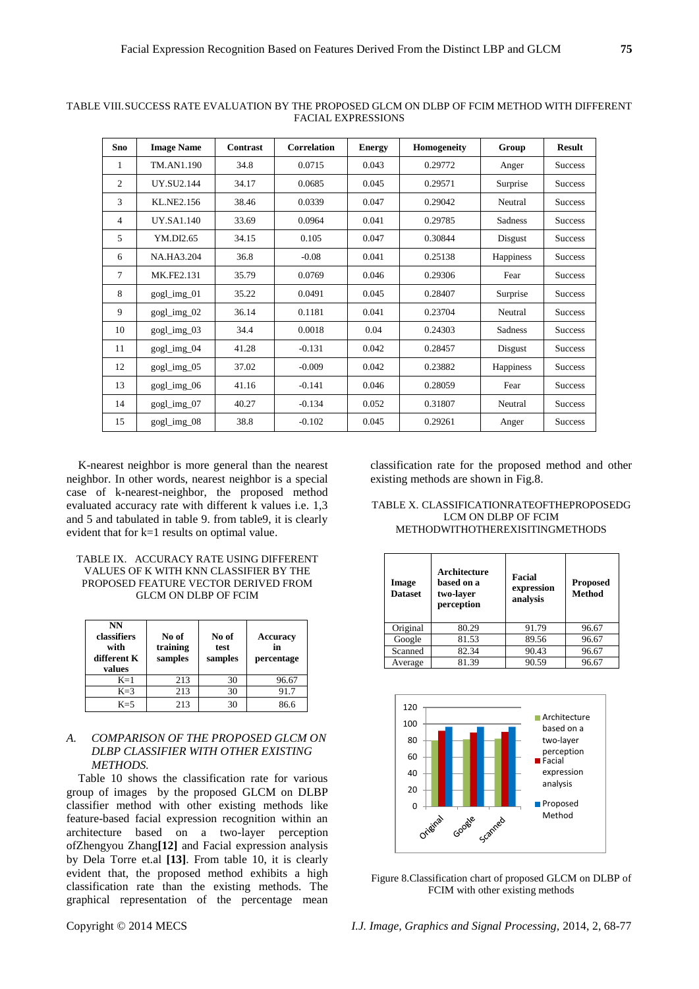| <b>Sno</b>     | <b>Image Name</b> | Contrast | <b>Correlation</b> | <b>Energy</b> | Homogeneity | Group          | <b>Result</b>  |
|----------------|-------------------|----------|--------------------|---------------|-------------|----------------|----------------|
| 1              | TM.AN1.190        | 34.8     | 0.0715             | 0.043         | 0.29772     | Anger          | <b>Success</b> |
| 2              | <b>UY.SU2.144</b> | 34.17    | 0.0685             | 0.045         | 0.29571     | Surprise       | <b>Success</b> |
| 3              | KL.NE2.156        | 38.46    | 0.0339             | 0.047         | 0.29042     | Neutral        | <b>Success</b> |
| $\overline{4}$ | <b>UY.SA1.140</b> | 33.69    | 0.0964             | 0.041         | 0.29785     | <b>Sadness</b> | <b>Success</b> |
| 5              | YM.DI2.65         | 34.15    | 0.105              | 0.047         | 0.30844     | Disgust        | <b>Success</b> |
| 6              | <b>NA.HA3.204</b> | 36.8     | $-0.08$            | 0.041         | 0.25138     | Happiness      | <b>Success</b> |
| 7              | MK.FE2.131        | 35.79    | 0.0769             | 0.046         | 0.29306     | Fear           | <b>Success</b> |
| 8              | gogl_img_01       | 35.22    | 0.0491             | 0.045         | 0.28407     | Surprise       | <b>Success</b> |
| 9              | gogl_img_02       | 36.14    | 0.1181             | 0.041         | 0.23704     | Neutral        | <b>Success</b> |
| 10             | gogl_img_03       | 34.4     | 0.0018             | 0.04          | 0.24303     | Sadness        | <b>Success</b> |
| 11             | gogl_img_04       | 41.28    | $-0.131$           | 0.042         | 0.28457     | Disgust        | <b>Success</b> |
| 12             | gogl_img_05       | 37.02    | $-0.009$           | 0.042         | 0.23882     | Happiness      | <b>Success</b> |
| 13             | $gogL$ img $06$   | 41.16    | $-0.141$           | 0.046         | 0.28059     | Fear           | <b>Success</b> |
| 14             | gogl_img_07       | 40.27    | $-0.134$           | 0.052         | 0.31807     | Neutral        | <b>Success</b> |
| 15             | gogl_img_08       | 38.8     | $-0.102$           | 0.045         | 0.29261     | Anger          | <b>Success</b> |

TABLE VIII.SUCCESS RATE EVALUATION BY THE PROPOSED GLCM ON DLBP OF FCIM METHOD WITH DIFFERENT FACIAL EXPRESSIONS

K-nearest neighbor is more general than the nearest neighbor. In other words, nearest neighbor is a special case of k-nearest-neighbor, the proposed method evaluated accuracy rate with different k values i.e. 1,3 and 5 and tabulated in table 9. from table9, it is clearly evident that for k=1 results on optimal value.

| TABLE IX. ACCURACY RATE USING DIFFERENT |
|-----------------------------------------|
| VALUES OF K WITH KNN CLASSIFIER BY THE  |
| PROPOSED FEATURE VECTOR DERIVED FROM    |
| GLCM ON DLBP OF FCIM                    |

| NN<br>classifiers<br>with<br>different K<br>values | No of<br>training<br>samples | No of<br>test<br>samples | <b>Accuracy</b><br>in<br>percentage |
|----------------------------------------------------|------------------------------|--------------------------|-------------------------------------|
| $K=1$                                              | 213                          | 30                       | 96.67                               |
| $K=3$                                              | 213                          | 30                       | 91.7                                |
| $K=5$                                              | 213                          | 30                       | 86.6                                |

## *A. COMPARISON OF THE PROPOSED GLCM ON DLBP CLASSIFIER WITH OTHER EXISTING METHODS.*

Table 10 shows the classification rate for various group of images by the proposed GLCM on DLBP classifier method with other existing methods like feature-based facial expression recognition within an architecture based on a two-layer perception ofZhengyou Zhang**[12]** and Facial expression analysis by Dela Torre et.al **[13]**. From table 10, it is clearly evident that, the proposed method exhibits a high classification rate than the existing methods. The graphical representation of the percentage mean

LCM ON DLBP OF FCIM METHODWITHOTHEREXISITINGMETHODS

existing methods are shown in Fig.8.

| Image<br><b>Dataset</b> | Architecture<br>based on a<br>two-layer<br>perception | Facial<br>expression<br>analysis | <b>Proposed</b><br><b>Method</b> |
|-------------------------|-------------------------------------------------------|----------------------------------|----------------------------------|
| Original                | 80.29                                                 | 91.79                            | 96.67                            |
| Google                  | 81.53                                                 | 89.56                            | 96.67                            |
| Scanned                 | 82.34                                                 | 90.43                            | 96.67                            |
| Average                 | 81.39                                                 | 90.59                            | 96.67                            |

classification rate for the proposed method and other

TABLE X. CLASSIFICATIONRATEOFTHEPROPOSEDG



Figure 8.Classification chart of proposed GLCM on DLBP of FCIM with other existing methods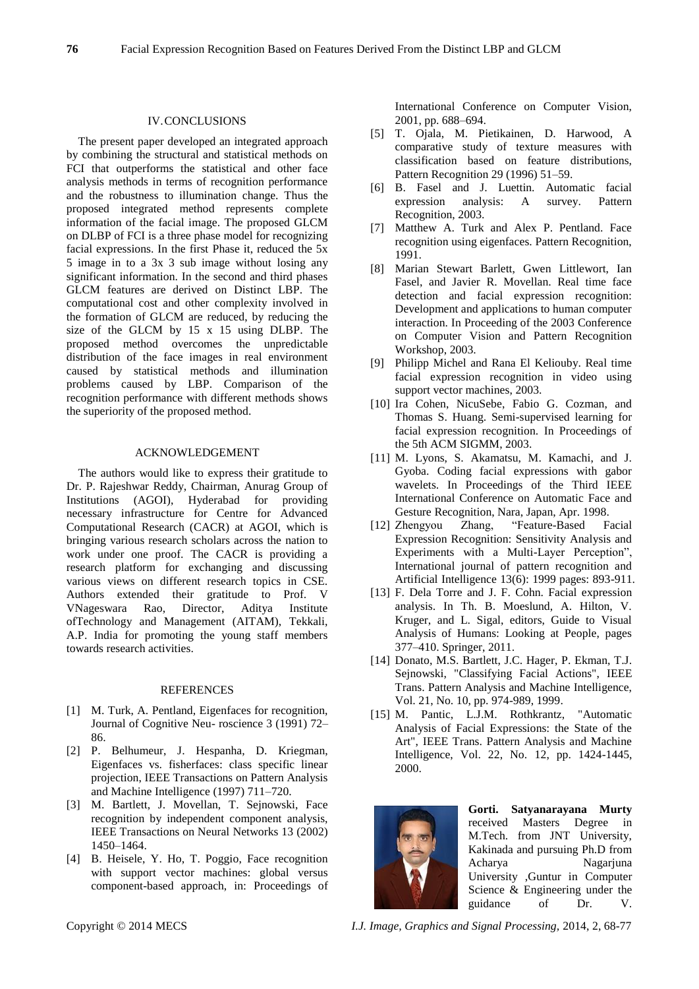#### IV.CONCLUSIONS

The present paper developed an integrated approach by combining the structural and statistical methods on FCI that outperforms the statistical and other face analysis methods in terms of recognition performance and the robustness to illumination change. Thus the proposed integrated method represents complete information of the facial image. The proposed GLCM on DLBP of FCI is a three phase model for recognizing facial expressions. In the first Phase it, reduced the 5x 5 image in to a 3x 3 sub image without losing any significant information. In the second and third phases GLCM features are derived on Distinct LBP. The computational cost and other complexity involved in the formation of GLCM are reduced, by reducing the size of the GLCM by 15 x 15 using DLBP. The proposed method overcomes the unpredictable distribution of the face images in real environment caused by statistical methods and illumination problems caused by LBP. Comparison of the recognition performance with different methods shows the superiority of the proposed method.

#### ACKNOWLEDGEMENT

The authors would like to express their gratitude to Dr. P. Rajeshwar Reddy, Chairman, Anurag Group of Institutions (AGOI), Hyderabad for providing necessary infrastructure for Centre for Advanced Computational Research (CACR) at AGOI, which is bringing various research scholars across the nation to work under one proof. The CACR is providing a research platform for exchanging and discussing various views on different research topics in CSE. Authors extended their gratitude to Prof. V<br>VNageswara Rao, Director, Aditya Institute VNageswara Rao, Director, ofTechnology and Management (AITAM), Tekkali, A.P. India for promoting the young staff members towards research activities.

#### **REFERENCES**

- [1] M. Turk, A. Pentland, Eigenfaces for recognition, Journal of Cognitive Neu- roscience 3 (1991) 72– 86.
- [2] P. Belhumeur, J. Hespanha, D. Kriegman, Eigenfaces vs. fisherfaces: class specific linear projection, IEEE Transactions on Pattern Analysis and Machine Intelligence (1997) 711–720.
- [3] M. Bartlett, J. Movellan, T. Sejnowski, Face recognition by independent component analysis, IEEE Transactions on Neural Networks 13 (2002) 1450–1464.
- [4] B. Heisele, Y. Ho, T. Poggio, Face recognition with support vector machines: global versus component-based approach, in: Proceedings of

International Conference on Computer Vision, 2001, pp. 688–694.

- [5] T. Ojala, M. Pietikainen, D. Harwood, A comparative study of texture measures with classification based on feature distributions, Pattern Recognition 29 (1996) 51–59.
- [6] B. Fasel and J. Luettin. Automatic facial expression analysis: A survey. Pattern Recognition, 2003.
- [7] Matthew A. Turk and Alex P. Pentland. Face recognition using eigenfaces. Pattern Recognition, 1991.
- [8] Marian Stewart Barlett, Gwen Littlewort, Ian Fasel, and Javier R. Movellan. Real time face detection and facial expression recognition: Development and applications to human computer interaction. In Proceeding of the 2003 Conference on Computer Vision and Pattern Recognition Workshop, 2003.
- [9] Philipp Michel and Rana El Keliouby. Real time facial expression recognition in video using support vector machines, 2003.
- [10] Ira Cohen, NicuSebe, Fabio G. Cozman, and Thomas S. Huang. Semi-supervised learning for facial expression recognition. In Proceedings of the 5th ACM SIGMM, 2003.
- [11] M. Lyons, S. Akamatsu, M. Kamachi, and J. Gyoba. Coding facial expressions with gabor wavelets. In Proceedings of the Third IEEE International Conference on Automatic Face and Gesture Recognition, Nara, Japan, Apr. 1998.
- [12] Zhengyou Zhang, "Feature-Based Facial Expression Recognition: Sensitivity Analysis and Experiments with a Multi-Layer Perception", International journal of pattern recognition and Artificial Intelligence 13(6): 1999 pages: 893-911.
- [13] F. Dela Torre and J. F. Cohn. Facial expression analysis. In Th. B. Moeslund, A. Hilton, V. Kruger, and L. Sigal, editors, Guide to Visual Analysis of Humans: Looking at People, pages 377–410. Springer, 2011.
- [14] Donato, M.S. Bartlett, J.C. Hager, P. Ekman, T.J. Sejnowski, "Classifying Facial Actions", IEEE Trans. Pattern Analysis and Machine Intelligence, Vol. 21, No. 10, pp. 974-989, 1999.
- [15] M. Pantic, L.J.M. Rothkrantz, "Automatic Analysis of Facial Expressions: the State of the Art", IEEE Trans. Pattern Analysis and Machine Intelligence, Vol. 22, No. 12, pp. 1424-1445, 2000.



**Gorti. Satyanarayana Murty** received Masters M.Tech. from JNT University, Kakinada and pursuing Ph.D from Acharya Nagarjuna University ,Guntur in Computer Science & Engineering under the guidance of Dr. V.